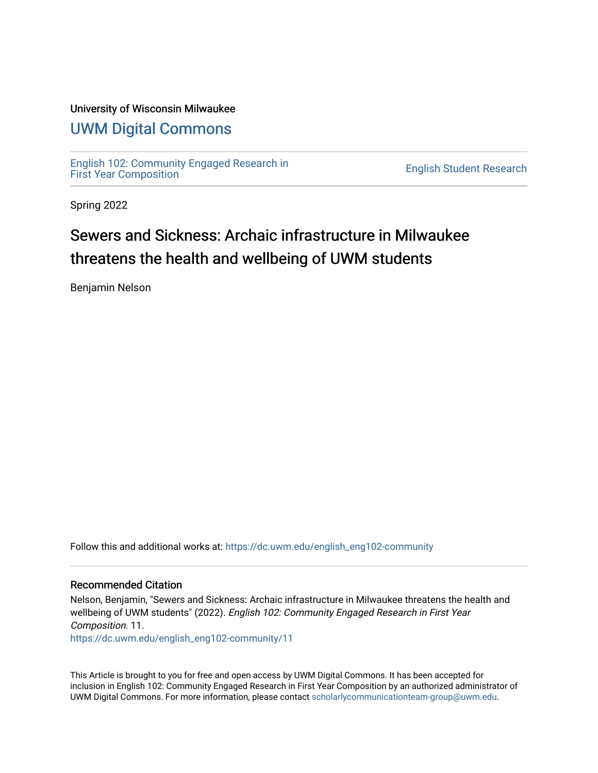#### University of Wisconsin Milwaukee

#### [UWM Digital Commons](https://dc.uwm.edu/)

[English 102: Community Engaged Research in](https://dc.uwm.edu/english_eng102-community) 

**English Student Research** 

Spring 2022

## Sewers and Sickness: Archaic infrastructure in Milwaukee threatens the health and wellbeing of UWM students

Benjamin Nelson

Follow this and additional works at: [https://dc.uwm.edu/english\\_eng102-community](https://dc.uwm.edu/english_eng102-community?utm_source=dc.uwm.edu%2Fenglish_eng102-community%2F11&utm_medium=PDF&utm_campaign=PDFCoverPages) 

#### Recommended Citation

Nelson, Benjamin, "Sewers and Sickness: Archaic infrastructure in Milwaukee threatens the health and wellbeing of UWM students" (2022). English 102: Community Engaged Research in First Year Composition. 11. [https://dc.uwm.edu/english\\_eng102-community/11](https://dc.uwm.edu/english_eng102-community/11?utm_source=dc.uwm.edu%2Fenglish_eng102-community%2F11&utm_medium=PDF&utm_campaign=PDFCoverPages) 

This Article is brought to you for free and open access by UWM Digital Commons. It has been accepted for inclusion in English 102: Community Engaged Research in First Year Composition by an authorized administrator of UWM Digital Commons. For more information, please contact [scholarlycommunicationteam-group@uwm.edu.](mailto:scholarlycommunicationteam-group@uwm.edu)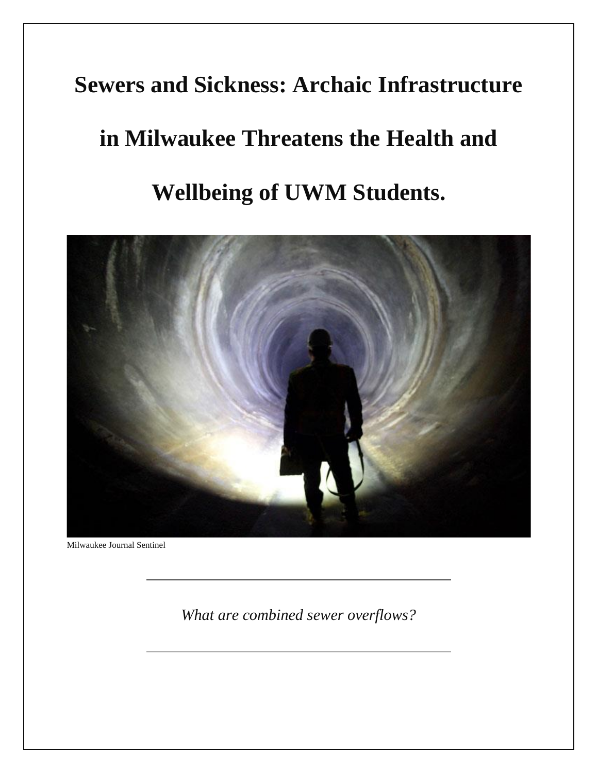## **Sewers and Sickness: Archaic Infrastructure**

# **in Milwaukee Threatens the Health and**

# **Wellbeing of UWM Students.**



Milwaukee Journal Sentinel

*What are combined sewer overflows?*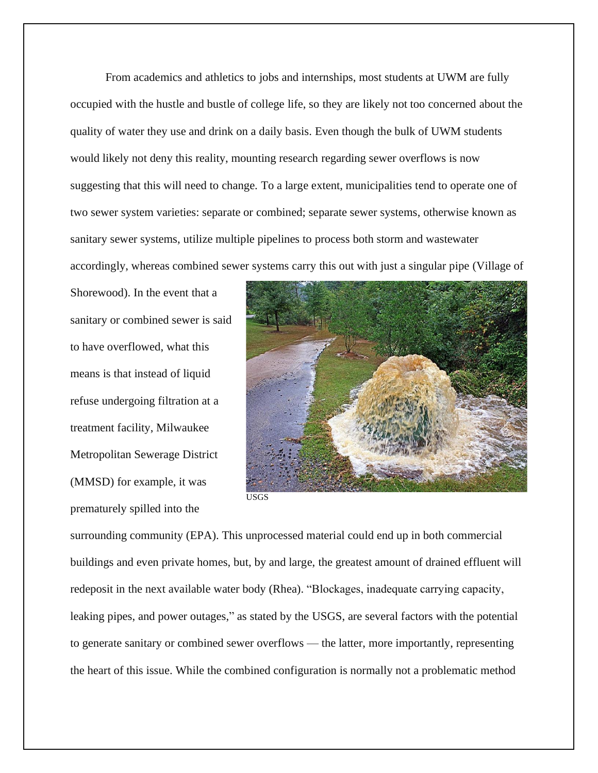From academics and athletics to jobs and internships, most students at UWM are fully occupied with the hustle and bustle of college life, so they are likely not too concerned about the quality of water they use and drink on a daily basis. Even though the bulk of UWM students would likely not deny this reality, mounting research regarding sewer overflows is now suggesting that this will need to change. To a large extent, municipalities tend to operate one of two sewer system varieties: separate or combined; separate sewer systems, otherwise known as sanitary sewer systems, utilize multiple pipelines to process both storm and wastewater accordingly, whereas combined sewer systems carry this out with just a singular pipe (Village of

Shorewood). In the event that a sanitary or combined sewer is said to have overflowed, what this means is that instead of liquid refuse undergoing filtration at a treatment facility, Milwaukee Metropolitan Sewerage District (MMSD) for example, it was prematurely spilled into the



USGS

surrounding community (EPA). This unprocessed material could end up in both commercial buildings and even private homes, but, by and large, the greatest amount of drained effluent will redeposit in the next available water body (Rhea). "Blockages, inadequate carrying capacity, leaking pipes, and power outages," as stated by the USGS, are several factors with the potential to generate sanitary or combined sewer overflows — the latter, more importantly, representing the heart of this issue. While the combined configuration is normally not a problematic method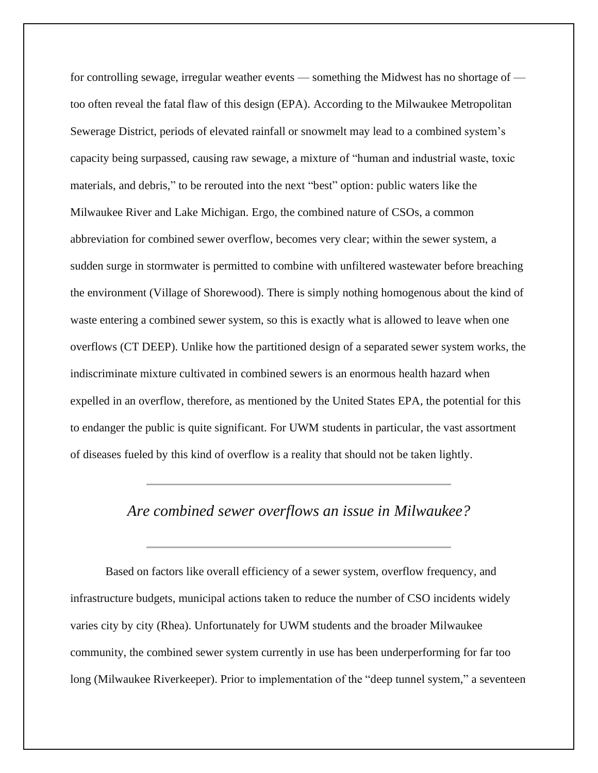for controlling sewage, irregular weather events — something the Midwest has no shortage of too often reveal the fatal flaw of this design (EPA). According to the Milwaukee Metropolitan Sewerage District, periods of elevated rainfall or snowmelt may lead to a combined system's capacity being surpassed, causing raw sewage, a mixture of "human and industrial waste, toxic materials, and debris," to be rerouted into the next "best" option: public waters like the Milwaukee River and Lake Michigan. Ergo, the combined nature of CSOs, a common abbreviation for combined sewer overflow, becomes very clear; within the sewer system, a sudden surge in stormwater is permitted to combine with unfiltered wastewater before breaching the environment (Village of Shorewood). There is simply nothing homogenous about the kind of waste entering a combined sewer system, so this is exactly what is allowed to leave when one overflows (CT DEEP). Unlike how the partitioned design of a separated sewer system works, the indiscriminate mixture cultivated in combined sewers is an enormous health hazard when expelled in an overflow, therefore, as mentioned by the United States EPA, the potential for this to endanger the public is quite significant. For UWM students in particular, the vast assortment of diseases fueled by this kind of overflow is a reality that should not be taken lightly.

#### *Are combined sewer overflows an issue in Milwaukee?*

Based on factors like overall efficiency of a sewer system, overflow frequency, and infrastructure budgets, municipal actions taken to reduce the number of CSO incidents widely varies city by city (Rhea). Unfortunately for UWM students and the broader Milwaukee community, the combined sewer system currently in use has been underperforming for far too long (Milwaukee Riverkeeper). Prior to implementation of the "deep tunnel system," a seventeen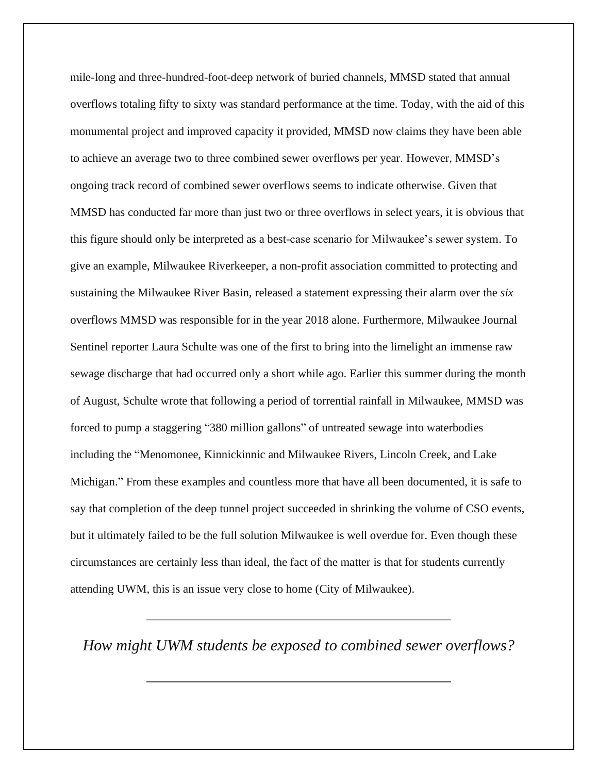mile-long and three-hundred-foot-deep network of buried channels, MMSD stated that annual overflows totaling fifty to sixty was standard performance at the time. Today, with the aid of this monumental project and improved capacity it provided, MMSD now claims they have been able to achieve an average two to three combined sewer overflows per year. However, MMSD's ongoing track record of combined sewer overflows seems to indicate otherwise. Given that MMSD has conducted far more than just two or three overflows in select years, it is obvious that this figure should only be interpreted as a best-case scenario for Milwaukee's sewer system. To give an example, Milwaukee Riverkeeper, a non-profit association committed to protecting and sustaining the Milwaukee River Basin, released a statement expressing their alarm over the *six* overflows MMSD was responsible for in the year 2018 alone. Furthermore, Milwaukee Journal Sentinel reporter Laura Schulte was one of the first to bring into the limelight an immense raw sewage discharge that had occurred only a short while ago. Earlier this summer during the month of August, Schulte wrote that following a period of torrential rainfall in Milwaukee, MMSD was forced to pump a staggering "380 million gallons" of untreated sewage into waterbodies including the "Menomonee, Kinnickinnic and Milwaukee Rivers, Lincoln Creek, and Lake Michigan." From these examples and countless more that have all been documented, it is safe to say that completion of the deep tunnel project succeeded in shrinking the volume of CSO events, but it ultimately failed to be the full solution Milwaukee is well overdue for. Even though these circumstances are certainly less than ideal, the fact of the matter is that for students currently attending UWM, this is an issue very close to home (City of Milwaukee).

*How might UWM students be exposed to combined sewer overflows?*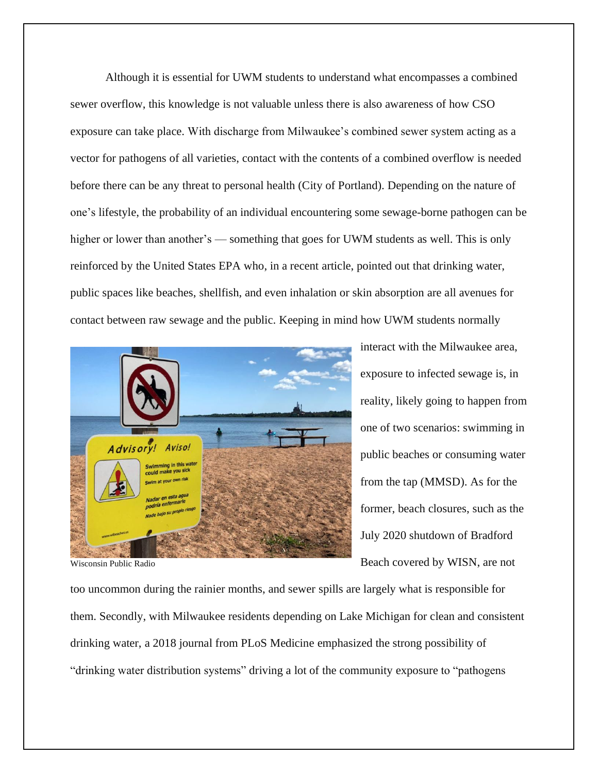Although it is essential for UWM students to understand what encompasses a combined sewer overflow, this knowledge is not valuable unless there is also awareness of how CSO exposure can take place. With discharge from Milwaukee's combined sewer system acting as a vector for pathogens of all varieties, contact with the contents of a combined overflow is needed before there can be any threat to personal health (City of Portland). Depending on the nature of one's lifestyle, the probability of an individual encountering some sewage-borne pathogen can be higher or lower than another's — something that goes for UWM students as well. This is only reinforced by the United States EPA who, in a recent article, pointed out that drinking water, public spaces like beaches, shellfish, and even inhalation or skin absorption are all avenues for contact between raw sewage and the public. Keeping in mind how UWM students normally



interact with the Milwaukee area, exposure to infected sewage is, in reality, likely going to happen from one of two scenarios: swimming in public beaches or consuming water from the tap (MMSD). As for the former, beach closures, such as the July 2020 shutdown of Bradford Beach covered by WISN, are not

Wisconsin Public Radio

too uncommon during the rainier months, and sewer spills are largely what is responsible for them. Secondly, with Milwaukee residents depending on Lake Michigan for clean and consistent drinking water, a 2018 journal from PLoS Medicine emphasized the strong possibility of "drinking water distribution systems" driving a lot of the community exposure to "pathogens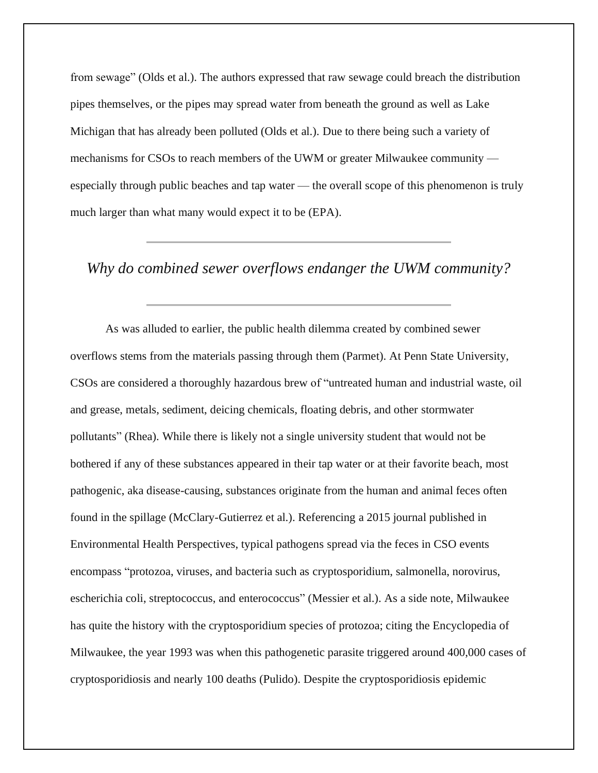from sewage" (Olds et al.). The authors expressed that raw sewage could breach the distribution pipes themselves, or the pipes may spread water from beneath the ground as well as Lake Michigan that has already been polluted (Olds et al.). Due to there being such a variety of mechanisms for CSOs to reach members of the UWM or greater Milwaukee community especially through public beaches and tap water — the overall scope of this phenomenon is truly much larger than what many would expect it to be (EPA).

#### *Why do combined sewer overflows endanger the UWM community?*

As was alluded to earlier, the public health dilemma created by combined sewer overflows stems from the materials passing through them (Parmet). At Penn State University, CSOs are considered a thoroughly hazardous brew of "untreated human and industrial waste, oil and grease, metals, sediment, deicing chemicals, floating debris, and other stormwater pollutants" (Rhea). While there is likely not a single university student that would not be bothered if any of these substances appeared in their tap water or at their favorite beach, most pathogenic, aka disease-causing, substances originate from the human and animal feces often found in the spillage (McClary-Gutierrez et al.). Referencing a 2015 journal published in Environmental Health Perspectives, typical pathogens spread via the feces in CSO events encompass "protozoa, viruses, and bacteria such as cryptosporidium, salmonella, norovirus, escherichia coli, streptococcus, and enterococcus" (Messier et al.). As a side note, Milwaukee has quite the history with the cryptosporidium species of protozoa; citing the Encyclopedia of Milwaukee, the year 1993 was when this pathogenetic parasite triggered around 400,000 cases of cryptosporidiosis and nearly 100 deaths (Pulido). Despite the cryptosporidiosis epidemic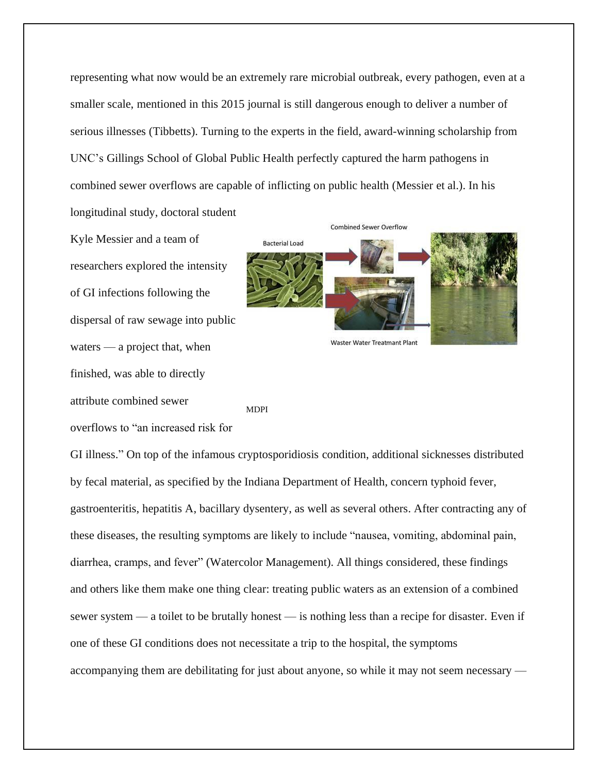representing what now would be an extremely rare microbial outbreak, every pathogen, even at a smaller scale, mentioned in this 2015 journal is still dangerous enough to deliver a number of serious illnesses (Tibbetts). Turning to the experts in the field, award-winning scholarship from UNC's Gillings School of Global Public Health perfectly captured the harm pathogens in combined sewer overflows are capable of inflicting on public health (Messier et al.). In his longitudinal study, doctoral student

Kyle Messier and a team of researchers explored the intensity of GI infections following the dispersal of raw sewage into public waters — a project that, when finished, was able to directly attribute combined sewer overflows to "an increased risk for



MDPI

GI illness." On top of the infamous cryptosporidiosis condition, additional sicknesses distributed by fecal material, as specified by the Indiana Department of Health, concern typhoid fever, gastroenteritis, hepatitis A, bacillary dysentery, as well as several others. After contracting any of these diseases, the resulting symptoms are likely to include "nausea, vomiting, abdominal pain, diarrhea, cramps, and fever" (Watercolor Management). All things considered, these findings and others like them make one thing clear: treating public waters as an extension of a combined sewer system — a toilet to be brutally honest — is nothing less than a recipe for disaster. Even if one of these GI conditions does not necessitate a trip to the hospital, the symptoms accompanying them are debilitating for just about anyone, so while it may not seem necessary —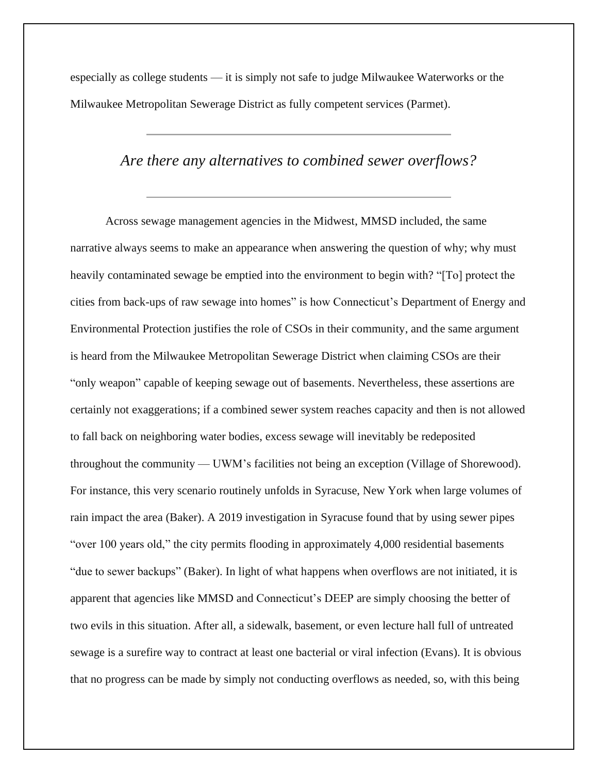especially as college students — it is simply not safe to judge Milwaukee Waterworks or the Milwaukee Metropolitan Sewerage District as fully competent services (Parmet).

#### *Are there any alternatives to combined sewer overflows?*

Across sewage management agencies in the Midwest, MMSD included, the same narrative always seems to make an appearance when answering the question of why; why must heavily contaminated sewage be emptied into the environment to begin with? "[To] protect the cities from back-ups of raw sewage into homes" is how Connecticut's Department of Energy and Environmental Protection justifies the role of CSOs in their community, and the same argument is heard from the Milwaukee Metropolitan Sewerage District when claiming CSOs are their "only weapon" capable of keeping sewage out of basements. Nevertheless, these assertions are certainly not exaggerations; if a combined sewer system reaches capacity and then is not allowed to fall back on neighboring water bodies, excess sewage will inevitably be redeposited throughout the community — UWM's facilities not being an exception (Village of Shorewood). For instance, this very scenario routinely unfolds in Syracuse, New York when large volumes of rain impact the area (Baker). A 2019 investigation in Syracuse found that by using sewer pipes "over 100 years old," the city permits flooding in approximately 4,000 residential basements "due to sewer backups" (Baker). In light of what happens when overflows are not initiated, it is apparent that agencies like MMSD and Connecticut's DEEP are simply choosing the better of two evils in this situation. After all, a sidewalk, basement, or even lecture hall full of untreated sewage is a surefire way to contract at least one bacterial or viral infection (Evans). It is obvious that no progress can be made by simply not conducting overflows as needed, so, with this being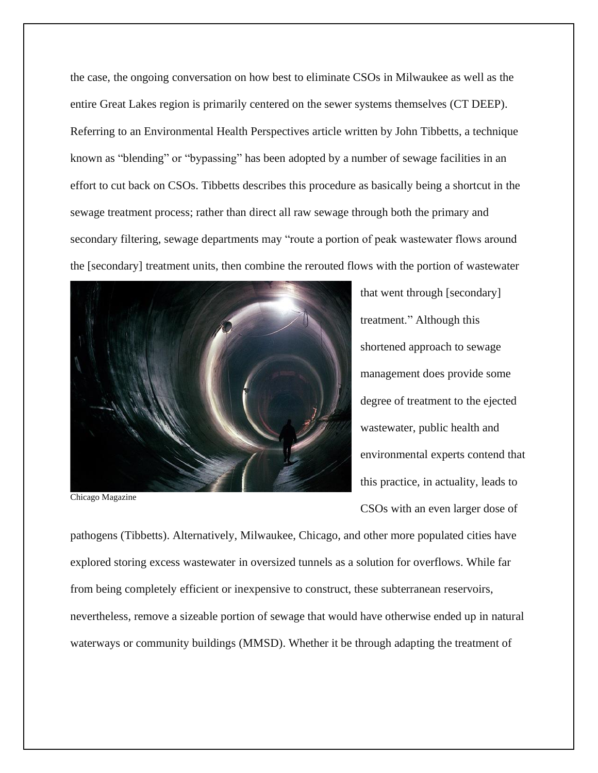the case, the ongoing conversation on how best to eliminate CSOs in Milwaukee as well as the entire Great Lakes region is primarily centered on the sewer systems themselves (CT DEEP). Referring to an Environmental Health Perspectives article written by John Tibbetts, a technique known as "blending" or "bypassing" has been adopted by a number of sewage facilities in an effort to cut back on CSOs. Tibbetts describes this procedure as basically being a shortcut in the sewage treatment process; rather than direct all raw sewage through both the primary and secondary filtering, sewage departments may "route a portion of peak wastewater flows around the [secondary] treatment units, then combine the rerouted flows with the portion of wastewater



Chicago Magazine

that went through [secondary] treatment." Although this shortened approach to sewage management does provide some degree of treatment to the ejected wastewater, public health and environmental experts contend that this practice, in actuality, leads to CSOs with an even larger dose of

pathogens (Tibbetts). Alternatively, Milwaukee, Chicago, and other more populated cities have explored storing excess wastewater in oversized tunnels as a solution for overflows. While far from being completely efficient or inexpensive to construct, these subterranean reservoirs, nevertheless, remove a sizeable portion of sewage that would have otherwise ended up in natural waterways or community buildings (MMSD). Whether it be through adapting the treatment of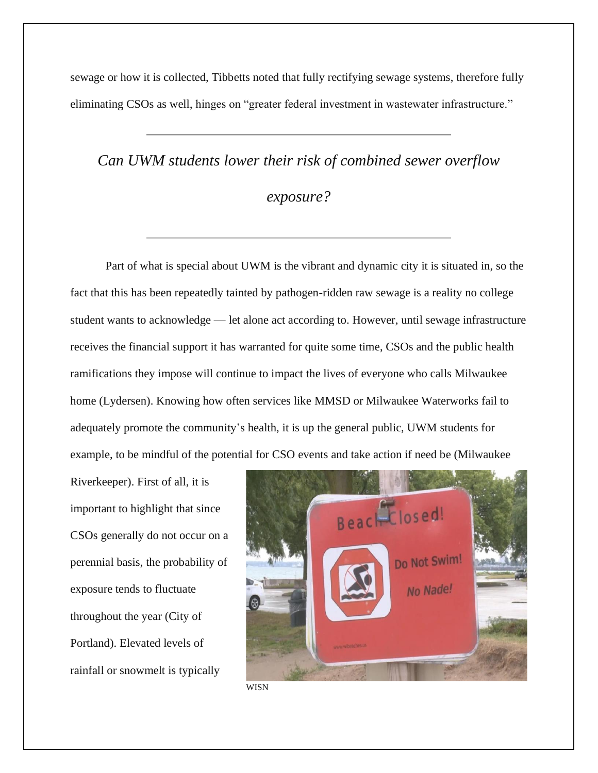sewage or how it is collected, Tibbetts noted that fully rectifying sewage systems, therefore fully eliminating CSOs as well, hinges on "greater federal investment in wastewater infrastructure."

## *Can UWM students lower their risk of combined sewer overflow*

#### *exposure?*

Part of what is special about UWM is the vibrant and dynamic city it is situated in, so the fact that this has been repeatedly tainted by pathogen-ridden raw sewage is a reality no college student wants to acknowledge — let alone act according to. However, until sewage infrastructure receives the financial support it has warranted for quite some time, CSOs and the public health ramifications they impose will continue to impact the lives of everyone who calls Milwaukee home (Lydersen). Knowing how often services like MMSD or Milwaukee Waterworks fail to adequately promote the community's health, it is up the general public, UWM students for example, to be mindful of the potential for CSO events and take action if need be (Milwaukee

Riverkeeper). First of all, it is important to highlight that since CSOs generally do not occur on a perennial basis, the probability of exposure tends to fluctuate throughout the year (City of Portland). Elevated levels of rainfall or snowmelt is typically



WISN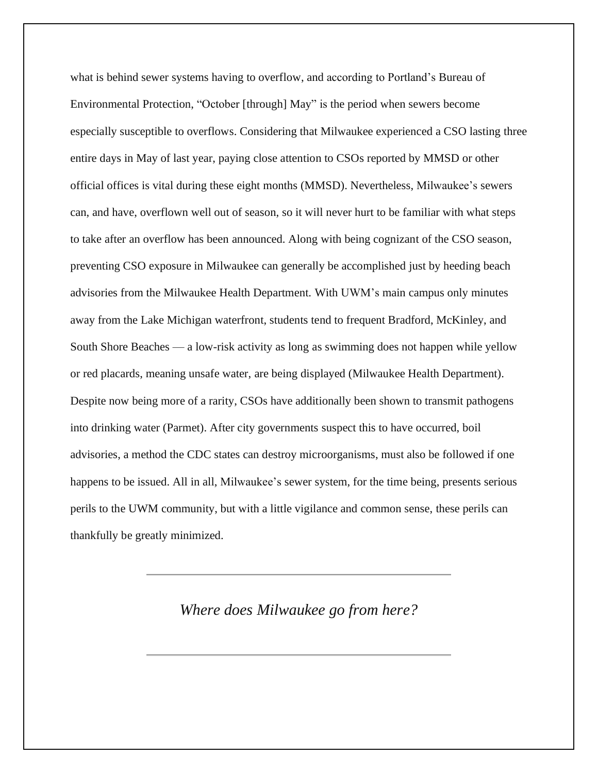what is behind sewer systems having to overflow, and according to Portland's Bureau of Environmental Protection, "October [through] May" is the period when sewers become especially susceptible to overflows. Considering that Milwaukee experienced a CSO lasting three entire days in May of last year, paying close attention to CSOs reported by MMSD or other official offices is vital during these eight months (MMSD). Nevertheless, Milwaukee's sewers can, and have, overflown well out of season, so it will never hurt to be familiar with what steps to take after an overflow has been announced. Along with being cognizant of the CSO season, preventing CSO exposure in Milwaukee can generally be accomplished just by heeding beach advisories from the Milwaukee Health Department. With UWM's main campus only minutes away from the Lake Michigan waterfront, students tend to frequent Bradford, McKinley, and South Shore Beaches — a low-risk activity as long as swimming does not happen while yellow or red placards, meaning unsafe water, are being displayed (Milwaukee Health Department). Despite now being more of a rarity, CSOs have additionally been shown to transmit pathogens into drinking water (Parmet). After city governments suspect this to have occurred, boil advisories, a method the CDC states can destroy microorganisms, must also be followed if one happens to be issued. All in all, Milwaukee's sewer system, for the time being, presents serious perils to the UWM community, but with a little vigilance and common sense, these perils can thankfully be greatly minimized.

#### *Where does Milwaukee go from here?*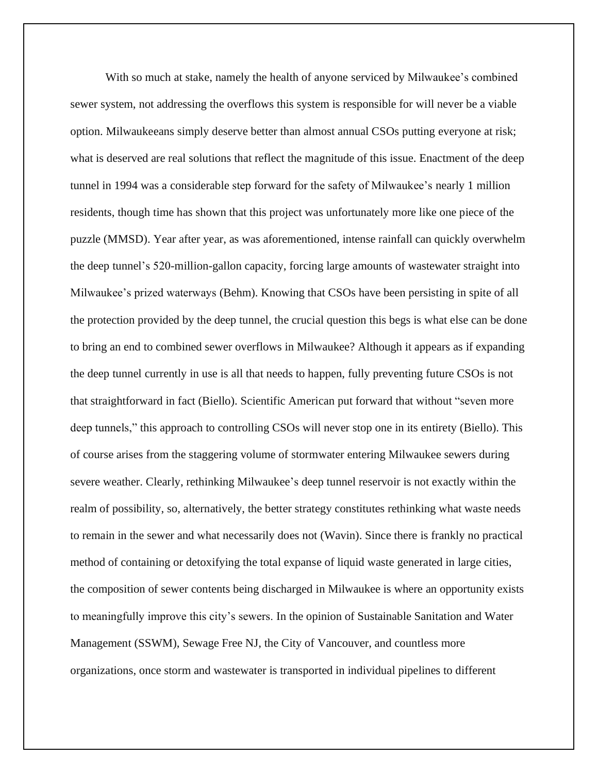With so much at stake, namely the health of anyone serviced by Milwaukee's combined sewer system, not addressing the overflows this system is responsible for will never be a viable option. Milwaukeeans simply deserve better than almost annual CSOs putting everyone at risk; what is deserved are real solutions that reflect the magnitude of this issue. Enactment of the deep tunnel in 1994 was a considerable step forward for the safety of Milwaukee's nearly 1 million residents, though time has shown that this project was unfortunately more like one piece of the puzzle (MMSD). Year after year, as was aforementioned, intense rainfall can quickly overwhelm the deep tunnel's 520-million-gallon capacity, forcing large amounts of wastewater straight into Milwaukee's prized waterways (Behm). Knowing that CSOs have been persisting in spite of all the protection provided by the deep tunnel, the crucial question this begs is what else can be done to bring an end to combined sewer overflows in Milwaukee? Although it appears as if expanding the deep tunnel currently in use is all that needs to happen, fully preventing future CSOs is not that straightforward in fact (Biello). Scientific American put forward that without "seven more deep tunnels," this approach to controlling CSOs will never stop one in its entirety (Biello). This of course arises from the staggering volume of stormwater entering Milwaukee sewers during severe weather. Clearly, rethinking Milwaukee's deep tunnel reservoir is not exactly within the realm of possibility, so, alternatively, the better strategy constitutes rethinking what waste needs to remain in the sewer and what necessarily does not (Wavin). Since there is frankly no practical method of containing or detoxifying the total expanse of liquid waste generated in large cities, the composition of sewer contents being discharged in Milwaukee is where an opportunity exists to meaningfully improve this city's sewers. In the opinion of Sustainable Sanitation and Water Management (SSWM), Sewage Free NJ, the City of Vancouver, and countless more organizations, once storm and wastewater is transported in individual pipelines to different